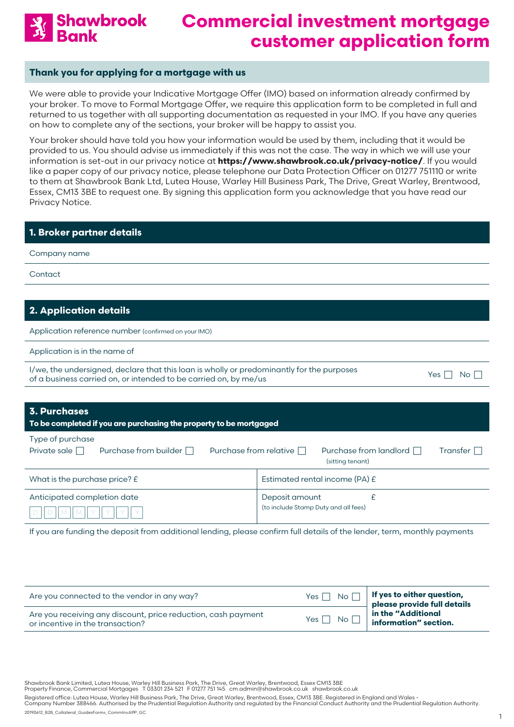

#### **Thank you for applying for a mortgage with us**

We were able to provide your Indicative Mortgage Offer (IMO) based on information already confirmed by your broker. To move to Formal Mortgage Offer, we require this application form to be completed in full and returned to us together with all supporting documentation as requested in your IMO. If you have any queries on how to complete any of the sections, your broker will be happy to assist you.

Your broker should have told you how your information would be used by them, including that it would be provided to us. You should advise us immediately if this was not the case. The way in which we will use your information is set-out in our privacy notice at **<https://www.shawbrook.co.uk/privacy-notice/>**. If you would like a paper copy of our privacy notice, please telephone our Data Protection Officer on 01277 751110 or write to them at Shawbrook Bank Ltd, Lutea House, Warley Hill Business Park, The Drive, Great Warley, Brentwood, Essex, CM13 3BE to request one. By signing this application form you acknowledge that you have read our Privacy Notice.

#### **1. Broker partner details**

Company name

**Contact** 

### **2. Application details**

Application reference number (confirmed on your IMO)

Application is in the name of

| I/we, the undersigned, declare that this loan is wholly or predominantly for the purposes | Yes $\Box$ No $\Box$ |  |
|-------------------------------------------------------------------------------------------|----------------------|--|
| of a business carried on, or intended to be carried on, by me/us                          |                      |  |

| ×<br>× |  |  |
|--------|--|--|
|--------|--|--|

### **3. Purchases To be completed if you are purchasing the property to be mortgaged** Type of purchase Private sale  $\Box$  Purchase from builder  $\Box$  Purchase from relative  $\Box$  Purchase from landlord  $\Box$  Transfer  $\Box$ (sitting tenant)

| What is the purchase price? $E$ | Estimated rental income (PA) $E$     |
|---------------------------------|--------------------------------------|
| Anticipated completion date     | Deposit amount                       |
| $D  D  M  M  Y  Y  Y  Y  Y  $   | (to include Stamp Duty and all fees) |

If you are funding the deposit from additional lending, please confirm full details of the lender, term, monthly payments

| Are you connected to the vendor in any way?                                                       | No <sub>1</sub><br>Yes $\Box$                                    | $\parallel$ If yes to either question,<br>please provide full details |
|---------------------------------------------------------------------------------------------------|------------------------------------------------------------------|-----------------------------------------------------------------------|
| Are you receiving any discount, price reduction, cash payment<br>or incentive in the transaction? | Yes $\Box$<br>$\overline{\mathsf{No}}$ $\overline{\mathsf{\Pi}}$ | in the "Additional<br>information" section.                           |

Shawbrook Bank Limited, Lutea House, Warley Hill Business Park, The Drive, Great Warley, Brentwood, Essex CM13 3BE<br>Property Finance, Commercial Mortgages T 03301 234 521 F 01277 751 145 cm.admin@shawbrook.co.uk shaw

Registered office: Lutea House, Warley Hill Business Park, The Drive, Great Warley, Brentwood, Essex, CM13 3BE. Registered in England and Wales -<br>Company Number 388466. Authorised by the Prudential Regulation Authority and

20190612\_B2B\_Collateral\_GuidesForms\_CommInvAPP\_GC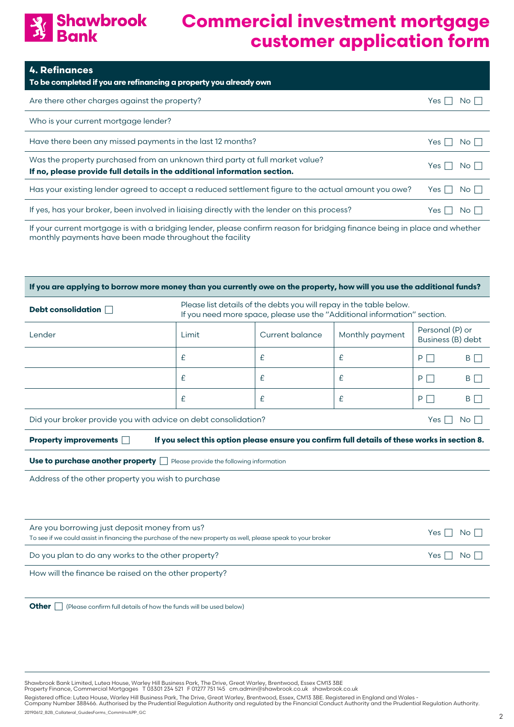### Shawbrook<br>Bank  $\frac{1}{2}$

# **Commercial investment mortgage customer application form**

| <b>4. Refinances</b><br>To be completed if you are refinancing a property you already own                                                                 |                |
|-----------------------------------------------------------------------------------------------------------------------------------------------------------|----------------|
| Are there other charges against the property?                                                                                                             | Yes<br>No I I  |
| Who is your current mortgage lender?                                                                                                                      |                |
| Have there been any missed payments in the last 12 months?                                                                                                | Yes<br>No II   |
| Was the property purchased from an unknown third party at full market value?<br>If no, please provide full details in the additional information section. | Yes I<br>No II |
| Has your existing lender agreed to accept a reduced settlement figure to the actual amount you owe?                                                       | $No \BoxYes I$ |
| If yes, has your broker, been involved in liaising directly with the lender on this process?                                                              | No II<br>Yes   |
| If your current mortagge is with a bridging lender please confirm reason for bridging finance being in place and whether                                  |                |

If your current mortgage is with a bridging lender, please confirm reason for bridging finance being in place and whethe monthly payments have been made throughout the facility

| If you are applying to borrow more money than you currently owe on the property, how will you use the additional funds?                  |                                                                                                                                                 |                 |                 |                                      |                 |
|------------------------------------------------------------------------------------------------------------------------------------------|-------------------------------------------------------------------------------------------------------------------------------------------------|-----------------|-----------------|--------------------------------------|-----------------|
| Debt consolidation                                                                                                                       | Please list details of the debts you will repay in the table below.<br>If you need more space, please use the "Additional information" section. |                 |                 |                                      |                 |
| Lender                                                                                                                                   | Limit                                                                                                                                           | Current balance | Monthly payment | Personal (P) or<br>Business (B) debt |                 |
|                                                                                                                                          | £                                                                                                                                               | £               | £               | $P \Box$                             | $B \Box$        |
|                                                                                                                                          | £                                                                                                                                               | £               | £               | P                                    | B I             |
|                                                                                                                                          | £                                                                                                                                               | £               | £               | $P \Box$                             | B $\Box$        |
| Did your broker provide you with advice on debt consolidation?                                                                           |                                                                                                                                                 |                 |                 | Yes I                                | No <sub>1</sub> |
| If you select this option please ensure you confirm full details of these works in section 8.<br><b>Property improvements</b> $\Box$     |                                                                                                                                                 |                 |                 |                                      |                 |
| <b>Use to purchase another property please provide the following information</b>                                                         |                                                                                                                                                 |                 |                 |                                      |                 |
| Address of the other property you wish to purchase                                                                                       |                                                                                                                                                 |                 |                 |                                      |                 |
|                                                                                                                                          |                                                                                                                                                 |                 |                 |                                      |                 |
| Are you borrowing just deposit money from us?                                                                                            |                                                                                                                                                 |                 |                 |                                      |                 |
| Yes I<br>No <sub>1</sub><br>To see if we could assist in financing the purchase of the new property as well, please speak to your broker |                                                                                                                                                 |                 |                 |                                      |                 |
| Do you plan to do any works to the other property?<br>Yes<br>No I                                                                        |                                                                                                                                                 |                 |                 |                                      |                 |
| How will the finance be raised on the other property?                                                                                    |                                                                                                                                                 |                 |                 |                                      |                 |
|                                                                                                                                          |                                                                                                                                                 |                 |                 |                                      |                 |
| <b>Other</b><br>(Please confirm full details of how the funds will be used below)                                                        |                                                                                                                                                 |                 |                 |                                      |                 |

Shawbrook Bank Limited, Lutea House, Warley Hill Business Park, The Drive, Great Warley, Brentwood, Essex CM13 3BE<br>Property Finance, Commercial Mortgages T 03301 234 521 F 01277 751 145 cm.admin@shawbrook.co.uk shaw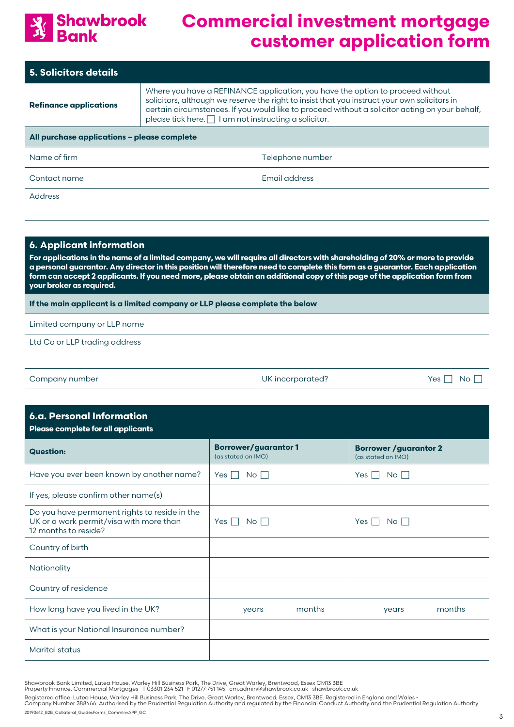

| <b>5. Solicitors details</b>                |                                                                                                                                                                                                                                                                                                                                                |                  |  |  |
|---------------------------------------------|------------------------------------------------------------------------------------------------------------------------------------------------------------------------------------------------------------------------------------------------------------------------------------------------------------------------------------------------|------------------|--|--|
| <b>Refinance applications</b>               | Where you have a REFINANCE application, you have the option to proceed without<br>solicitors, although we reserve the right to insist that you instruct your own solicitors in<br>certain circumstances. If you would like to proceed without a solicitor acting on your behalf,<br>please tick here. $\Box$ I am not instructing a solicitor. |                  |  |  |
| All purchase applications - please complete |                                                                                                                                                                                                                                                                                                                                                |                  |  |  |
| Name of firm                                |                                                                                                                                                                                                                                                                                                                                                | Telephone number |  |  |
| Contact name                                | Email address                                                                                                                                                                                                                                                                                                                                  |                  |  |  |
| <b>Address</b>                              |                                                                                                                                                                                                                                                                                                                                                |                  |  |  |
|                                             |                                                                                                                                                                                                                                                                                                                                                |                  |  |  |
|                                             |                                                                                                                                                                                                                                                                                                                                                |                  |  |  |

### **6. Applicant information**

**For applications in the name of a limited company, we will require all directors with shareholding of 20% or more to provide a personal guarantor. Any director in this position will therefore need to complete this form as a guarantor. Each application form can accept 2 applicants. If you need more, please obtain an additional copy of this page of the application form from your broker as required.** 

**If the main applicant is a limited company or LLP please complete the below**

Limited company or LLP name

Ltd Co or LLP trading address

| Company number | UK incorporated? | No.<br>Yes |
|----------------|------------------|------------|
|                |                  |            |

| <b>6.a. Personal Information</b><br>Please complete for all applicants                                           |                                                  |                                                     |  |  |
|------------------------------------------------------------------------------------------------------------------|--------------------------------------------------|-----------------------------------------------------|--|--|
| <b>Question:</b>                                                                                                 | <b>Borrower/guarantor1</b><br>(as stated on IMO) | <b>Borrower / guarantor 2</b><br>(as stated on IMO) |  |  |
| Have you ever been known by another name?                                                                        | Yes $\Box$<br>$No \Box$                          | No <sub>1</sub><br>Yes                              |  |  |
| If yes, please confirm other name(s)                                                                             |                                                  |                                                     |  |  |
| Do you have permanent rights to reside in the<br>UK or a work permit/visa with more than<br>12 months to reside? | Yes $\Box$<br>$No$                               | No    <br>Yes                                       |  |  |
| Country of birth                                                                                                 |                                                  |                                                     |  |  |
| Nationality                                                                                                      |                                                  |                                                     |  |  |
| Country of residence                                                                                             |                                                  |                                                     |  |  |
| How long have you lived in the UK?                                                                               | months<br>years                                  | months<br>years                                     |  |  |
| What is your National Insurance number?                                                                          |                                                  |                                                     |  |  |
| <b>Marital status</b>                                                                                            |                                                  |                                                     |  |  |

Shawbrook Bank Limited, Lutea House, Warley Hill Business Park, The Drive, Great Warley, Brentwood, Essex CM13 3BE<br>Property Finance, Commercial Mortgages T 03301 234 521 F 01277 751 145 cm.admin@shawbrook.co.uk shaw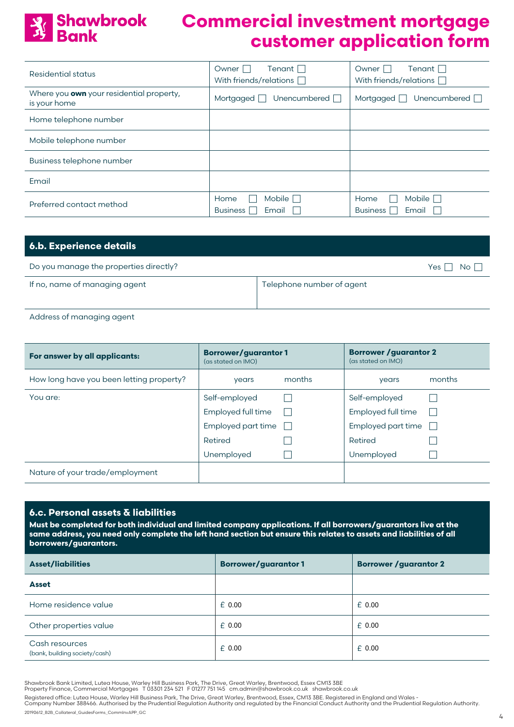

| Residential status                                       | Tenant $\Box$<br>Owner I<br>With friends/relations $\Box$ | Owner I<br>Tenant $\Box$<br>With friends/relations $\Box$ |
|----------------------------------------------------------|-----------------------------------------------------------|-----------------------------------------------------------|
| Where you own your residential property,<br>is your home | Unencumbered $\Box$<br>Mortgaged                          | Unencumbered $\Box$<br>Mortgaged                          |
| Home telephone number                                    |                                                           |                                                           |
| Mobile telephone number                                  |                                                           |                                                           |
| Business telephone number                                |                                                           |                                                           |
| Email                                                    |                                                           |                                                           |
| Preferred contact method                                 | Mobile <sup>[</sup><br>Home<br><b>Business</b><br>Email   | Mobile $\Box$<br>Home<br><b>Business</b><br>Email         |

| <b>6.b. Experience details</b>         |                                 |
|----------------------------------------|---------------------------------|
| Do you manage the properties directly? | Yes $\Gamma$<br>No <sub>1</sub> |
| If no, name of managing agent          | Telephone number of agent       |

Address of managing agent

| For answer by all applicants:            | <b>Borrower/guarantor1</b><br>(as stated on IMO) |              | <b>Borrower / guarantor 2</b><br>(as stated on IMO) |        |
|------------------------------------------|--------------------------------------------------|--------------|-----------------------------------------------------|--------|
| How long have you been letting property? | years                                            | months       | years                                               | months |
| You are:                                 | Self-employed                                    |              | Self-employed                                       |        |
|                                          | Employed full time                               |              | Employed full time                                  |        |
|                                          | Employed part time                               | $\mathbf{1}$ | Employed part time                                  |        |
|                                          | Retired                                          |              | Retired                                             |        |
|                                          | Unemployed                                       |              | Unemployed                                          |        |
| Nature of your trade/employment          |                                                  |              |                                                     |        |

#### **6.c. Personal assets & liabilities**

**Must be completed for both individual and limited company applications. If all borrowers/guarantors live at the same address, you need only complete the left hand section but ensure this relates to assets and liabilities of all borrowers/guarantors.** 

| <b>Asset/liabilities</b>                        | <b>Borrower/guarantor1</b> | <b>Borrower / guarantor 2</b> |  |  |
|-------------------------------------------------|----------------------------|-------------------------------|--|--|
| <b>Asset</b>                                    |                            |                               |  |  |
| Home residence value                            | $£$ 0.00                   | $£$ 0.00                      |  |  |
| Other properties value                          | $£$ 0.00                   | $£$ 0.00                      |  |  |
| Cash resources<br>(bank, building society/cash) | $£$ 0.00                   | $£$ 0.00                      |  |  |

Shawbrook Bank Limited, Lutea House, Warley Hill Business Park, The Drive, Great Warley, Brentwood, Essex CM13 3BE<br>Property Finance, Commercial Mortgages T 03301 234 521 F 01277 751 145 cm.admin@shawbrook.co.uk shaw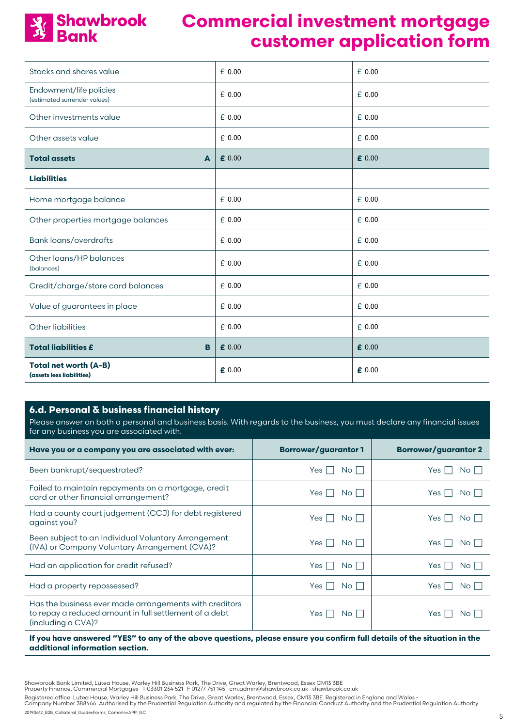

| Stocks and shares value                                   | £0.00    | £ 0.00          |
|-----------------------------------------------------------|----------|-----------------|
| Endowment/life policies<br>(estimated surrender values)   | $£$ 0.00 | £0.00           |
| Other investments value                                   | £0.00    | £ 0.00          |
| Other assets value                                        | £0.00    | £ 0.00          |
| <b>Total assets</b><br>A                                  | £ 0.00   | £ 0.00          |
| <b>Liabilities</b>                                        |          |                 |
| Home mortgage balance                                     | £0.00    | £ 0.00          |
| Other properties mortgage balances                        | £0.00    | £ 0.00          |
| <b>Bank loans/overdrafts</b>                              | $£$ 0.00 | £ 0.00          |
| Other loans/HP balances<br>(balances)                     | £0.00    | £ 0.00          |
| Credit/charge/store card balances                         | £0.00    | £ 0.00          |
| Value of guarantees in place                              | £0.00    | £ 0.00          |
| Other liabilities                                         | £0.00    | £ 0.00          |
| <b>Total liabilities £</b><br>B                           | £ 0.00   | $\epsilon$ 0.00 |
| <b>Total net worth (A-B)</b><br>(assets less liabilities) | £ 0.00   | $\epsilon$ 0.00 |

#### **6.d. Personal & business financial history**

Please answer on both a personal and business basis. With regards to the business, you must declare any financial issues for any business you are associated with.

| Have you or a company you are associated with ever:                                                                                    | <b>Borrower/guarantor1</b> | <b>Borrower/guarantor 2</b>   |
|----------------------------------------------------------------------------------------------------------------------------------------|----------------------------|-------------------------------|
| Been bankrupt/sequestrated?                                                                                                            | Yes I<br>No l              | No II<br>Yes                  |
| Failed to maintain repayments on a mortgage, credit<br>card or other financial arrangement?                                            | Yes I<br>No I              | Yes<br>$No$ $\vert \ \ \vert$ |
| Had a county court judgement (CCJ) for debt registered<br>against you?                                                                 | Yes I<br>No l              | Yes<br>No I                   |
| Been subject to an Individual Voluntary Arrangement<br>(IVA) or Company Voluntary Arrangement (CVA)?                                   | Yes I<br>No I              | No II<br>Yes                  |
| Had an application for credit refused?                                                                                                 | Yes I<br>No I              | Yes<br>No II                  |
| Had a property repossessed?                                                                                                            | Yes  <br>No I              | Yes<br>$No$ $\vert \ \ \vert$ |
| Has the business ever made arrangements with creditors<br>to repay a reduced amount in full settlement of a debt<br>(including a CVA)? | Yes I<br>No l              | Yes<br>No I                   |

#### **If you have answered "YES" to any of the above questions, please ensure you confirm full details of the situation in the additional information section.**

Shawbrook Bank Limited, Lutea House, Warley Hill Business Park, The Drive, Great Warley, Brentwood, Essex CM13 3BE<br>Property Finance, Commercial Mortgages T 03301 234 521 F 01277 751 145 cm.admin@shawbrook.co.uk shaw

Registered office: Lutea House, Warley Hill Business Park, The Drive, Great Warley, Brentwood, Essex, CM13 3BE. Registered in England and Wales -<br>Company Number 388466. Authorised by the Prudential Regulation Authority and

20190612\_B2B\_Collateral\_GuidesForms\_CommInvAPP\_GC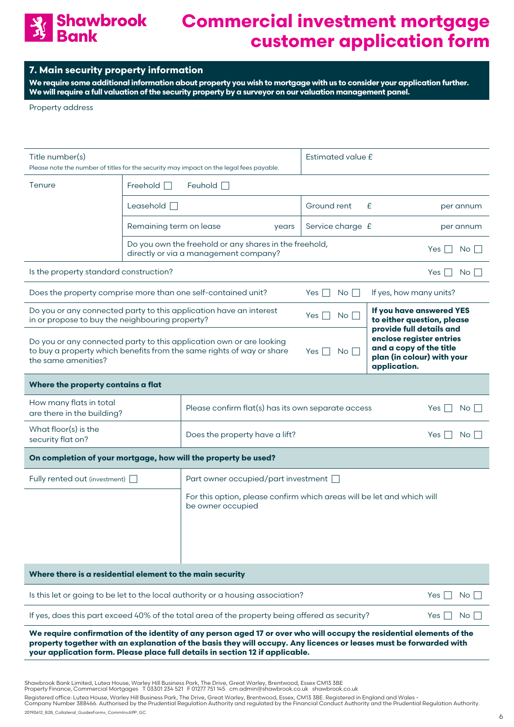

#### **7. Main security property information**

**We require some additional information about property you wish to mortgage with us to consider your application further. We will require a full valuation of the security property by a surveyor on our valuation management panel.**

Property address

| Title number(s)<br>Please note the number of titles for the security may impact on the legal fees payable.                                                              |                         | Estimated value £                                                                                                                                                                                                                           |                                                                                                                               |                                                        |  |  |
|-------------------------------------------------------------------------------------------------------------------------------------------------------------------------|-------------------------|---------------------------------------------------------------------------------------------------------------------------------------------------------------------------------------------------------------------------------------------|-------------------------------------------------------------------------------------------------------------------------------|--------------------------------------------------------|--|--|
| Tenure                                                                                                                                                                  | Freehold $\Box$         | Feuhold $\Box$                                                                                                                                                                                                                              |                                                                                                                               |                                                        |  |  |
|                                                                                                                                                                         | Leasehold $\Box$        |                                                                                                                                                                                                                                             | Ground rent                                                                                                                   | £<br>per annum                                         |  |  |
|                                                                                                                                                                         | Remaining term on lease | years                                                                                                                                                                                                                                       | Service charge £                                                                                                              | per annum                                              |  |  |
|                                                                                                                                                                         |                         | Do you own the freehold or any shares in the freehold,<br>directly or via a management company?                                                                                                                                             |                                                                                                                               | Yes<br>No I                                            |  |  |
| Is the property standard construction?                                                                                                                                  |                         |                                                                                                                                                                                                                                             |                                                                                                                               | No I<br>Yes                                            |  |  |
| Does the property comprise more than one self-contained unit?                                                                                                           |                         |                                                                                                                                                                                                                                             | $\overline{N}$ o $\overline{\Box}$<br>Yes                                                                                     | If yes, how many units?                                |  |  |
| in or propose to buy the neighbouring property?                                                                                                                         |                         | Do you or any connected party to this application have an interest                                                                                                                                                                          | Yes $\Box$<br>No <sub>1</sub>                                                                                                 | If you have answered YES<br>to either question, please |  |  |
| Do you or any connected party to this application own or are looking<br>to buy a property which benefits from the same rights of way or share<br>the same amenities?    |                         | No <sub>1</sub><br>Yes                                                                                                                                                                                                                      | provide full details and<br>enclose register entries<br>and a copy of the title<br>plan (in colour) with your<br>application. |                                                        |  |  |
| Where the property contains a flat                                                                                                                                      |                         |                                                                                                                                                                                                                                             |                                                                                                                               |                                                        |  |  |
| How many flats in total<br>are there in the building?                                                                                                                   |                         | Please confirm flat(s) has its own separate access<br>No<br>Yes $\vert \ \vert$                                                                                                                                                             |                                                                                                                               |                                                        |  |  |
| What floor(s) is the<br>security flat on?                                                                                                                               |                         | Yes  <br>No I                                                                                                                                                                                                                               |                                                                                                                               |                                                        |  |  |
|                                                                                                                                                                         |                         | On completion of your mortgage, how will the property be used?                                                                                                                                                                              |                                                                                                                               |                                                        |  |  |
| Fully rented out (investment)  <br>Part owner occupied/part investment  <br>For this option, please confirm which areas will be let and which will<br>be owner occupied |                         |                                                                                                                                                                                                                                             |                                                                                                                               |                                                        |  |  |
| Where there is a residential element to the main security                                                                                                               |                         |                                                                                                                                                                                                                                             |                                                                                                                               |                                                        |  |  |
| Is this let or going to be let to the local authority or a housing association?<br>Yes  <br>$No$                                                                        |                         |                                                                                                                                                                                                                                             |                                                                                                                               |                                                        |  |  |
| If yes, does this part exceed 40% of the total area of the property being offered as security?<br>Yes $ $<br>$No$                                                       |                         |                                                                                                                                                                                                                                             |                                                                                                                               |                                                        |  |  |
|                                                                                                                                                                         |                         | We require confirmation of the identity of any person aged 17 or over who will occupy the residential elements of the<br>property together with an explanation of the basis they will occupy. Any licences or leases must be forwarded with |                                                                                                                               |                                                        |  |  |

**your application form. Please place full details in section 12 if applicable.**

Shawbrook Bank Limited, Lutea House, Warley Hill Business Park, The Drive, Great Warley, Brentwood, Essex CM13 3BE<br>Property Finance, Commercial Mortgages T 03301 234 521 F 01277 751 145 cm.admin@shawbrook.co.uk shaw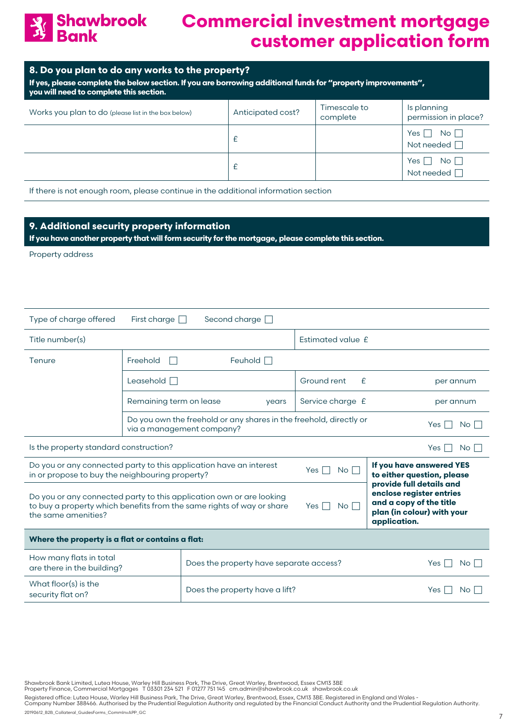

#### **8. Do you plan to do any works to the property?**

**If yes, please complete the below section. If you are borrowing additional funds for "property improvements", you will need to complete this section.**

| Works you plan to do (please list in the box below) | Anticipated cost? | Timescale to<br>complete | Is planning<br>permission in place?                                  |
|-----------------------------------------------------|-------------------|--------------------------|----------------------------------------------------------------------|
|                                                     |                   |                          | Yes $\lceil$<br>$\overline{\mathsf{No}}$ $\Box$<br>Not needed $\Box$ |
|                                                     |                   |                          | Yes $\Box$ No $\Box$<br>Not needed $\Box$                            |

If there is not enough room, please continue in the additional information section

#### **9. Additional security property information**

**If you have another property that will form security for the mortgage, please complete this section.**

Property address

| Type of charge offered                                                                                                                                                                                                                                                                                                                      | First charge $\Box$     | Second charge $\Box$                                                                            |                                                        |                  |  |  |
|---------------------------------------------------------------------------------------------------------------------------------------------------------------------------------------------------------------------------------------------------------------------------------------------------------------------------------------------|-------------------------|-------------------------------------------------------------------------------------------------|--------------------------------------------------------|------------------|--|--|
| Title number(s)                                                                                                                                                                                                                                                                                                                             |                         |                                                                                                 | Estimated value £                                      |                  |  |  |
| Tenure                                                                                                                                                                                                                                                                                                                                      | Freehold<br>m.          | Feuhold $\Box$                                                                                  |                                                        |                  |  |  |
|                                                                                                                                                                                                                                                                                                                                             | Leasehold $\Box$        |                                                                                                 | Ground rent<br>£                                       | per annum        |  |  |
|                                                                                                                                                                                                                                                                                                                                             | Remaining term on lease | years                                                                                           | Service charge £                                       | per annum        |  |  |
|                                                                                                                                                                                                                                                                                                                                             |                         | Do you own the freehold or any shares in the freehold, directly or<br>via a management company? |                                                        | $No \Box$<br>Yes |  |  |
| Is the property standard construction?<br>No <sub>1</sub><br>Yes I                                                                                                                                                                                                                                                                          |                         |                                                                                                 |                                                        |                  |  |  |
| Do you or any connected party to this application have an interest<br>in or propose to buy the neighbouring property?                                                                                                                                                                                                                       |                         | No <sub>l</sub><br>Yes $\Box$                                                                   | If you have answered YES<br>to either question, please |                  |  |  |
| provide full details and<br>enclose register entries<br>Do you or any connected party to this application own or are looking<br>and a copy of the title<br>to buy a property which benefits from the same rights of way or share<br>Yes $\Box$<br>$No$ $\vert \ \vert$<br>plan (in colour) with your<br>the same amenities?<br>application. |                         |                                                                                                 |                                                        |                  |  |  |
| Where the property is a flat or contains a flat:                                                                                                                                                                                                                                                                                            |                         |                                                                                                 |                                                        |                  |  |  |
| How many flats in total<br>are there in the building?                                                                                                                                                                                                                                                                                       |                         | Does the property have separate access?                                                         | No II<br>Yes                                           |                  |  |  |
| What floor(s) is the<br>security flat on?                                                                                                                                                                                                                                                                                                   |                         | Does the property have a lift?                                                                  | <b>Yes</b><br>$No$ $\vert \ \vert$                     |                  |  |  |

Shawbrook Bank Limited, Lutea House, Warley Hill Business Park, The Drive, Great Warley, Brentwood, Essex CM13 3BE<br>Property Finance, Commercial Mortgages T 03301 234 521 F 01277 751 145 cm.admin@shawbrook.co.uk shaw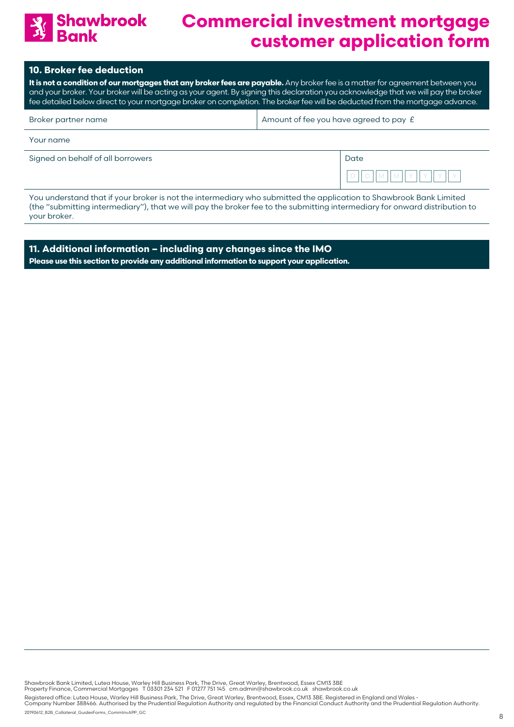

#### **10. Broker fee deduction**

**It is not a condition of our mortgages that any broker fees are payable.** Any broker fee is a matter for agreement between you and your broker. Your broker will be acting as your agent. By signing this declaration you acknowledge that we will pay the broker fee detailed below direct to your mortgage broker on completion. The broker fee will be deducted from the mortgage advance.

| Broker partner name | $\vert$ Amount of fee you have agreed to pay $\epsilon$ |
|---------------------|---------------------------------------------------------|
| Your name           |                                                         |

| Signed on behalf of all borrowers | Date |
|-----------------------------------|------|
|                                   |      |

You understand that if your broker is not the intermediary who submitted the application to Shawbrook Bank Limited (the "submitting intermediary"), that we will pay the broker fee to the submitting intermediary for onward distribution to your broker.

**11. Additional information – including any changes since the IMO Please use this section to provide any additional information to support your application.**

Shawbrook Bank Limited, Lutea House, Warley Hill Business Park, The Drive, Great Warley, Brentwood, Essex CM13 3BE<br>Property Finance, Commercial Mortgages T 03301 234 521 F 01277 751 145 cm.admin@shawbrook.co.uk shaw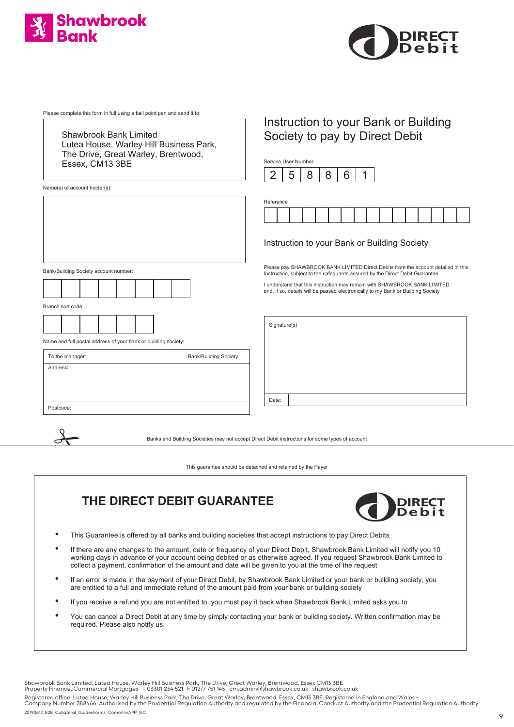



Please complete this form in full using a ball point pen and send it to:

Shawbrook Bank Limited Lutea House, Warley Hill Business Park, The Drive, Great Warley, Brentwood, Essex, CM13 3BE

Name(s) of account holder(s):

Bank/Building Society account number:



Branch sort code:

 $\frac{1}{\sqrt{2}}$ 



Name and full postal address of your bank or building society:

| To the manager: | <b>Bank/Building Society</b> |
|-----------------|------------------------------|
| Address:        |                              |
|                 |                              |
|                 |                              |
| Postcode:       |                              |

### Instruction to your Bank or Building Society to pay by Direct Debit

Service User Number



| Reference |  |  |  |  |  |  |  |
|-----------|--|--|--|--|--|--|--|
|           |  |  |  |  |  |  |  |

#### Instruction to your Bank or Building Society

Please pay SHAWBROOK BANK LIMITED Direct Debits from the account detailed in this Instruction, subject to the safeguards assured by the Direct Debit Guarantee.

I understand that this instruction may remain with SHAWBROOK BANK LIMITED and, if so, details will be passed electronically to my Bank or Building Society

Signature(s)

Date:

Banks and Building Societies may not accept Direct Debit instructions for some types of account

This guarantee should be detached and retained by the Payer

### **THE DIRECT DEBIT GUARANTEE**



- This Guarantee is offered by all banks and building societies that accept instructions to pay Direct Debits
- If there are any changes to the amount, date or frequency of your Direct Debit, Shawbrook Bank Limited will notify you 10 working days in advance of your account being debited or as otherwise agreed. If you request Shawbrook Bank Limited to collect a payment, confirmation of the amount and date will be given to you at the time of the request
- If an error is made in the payment of your Direct Debit, by Shawbrook Bank Limited or your bank or building society, you are entitled to a full and immediate refund of the amount paid from your bank or building society
- If you receive a refund you are not entitled to, you must pay it back when Shawbrook Bank Limited asks you to
- You can cancel a Direct Debit at any time by simply contacting your bank or building society. Written confirmation may be required. Please also notify us.

Shawbrook Bank Limited, Lutea House, Warley Hill Business Park, The Drive, Great Warley, Brentwood, Essex CM13 3BE<br>Property Finance, Commercial Mortgages T 03301 234 521 F 01277 751 145 cm.admin@shawbrook.co.uk shaw